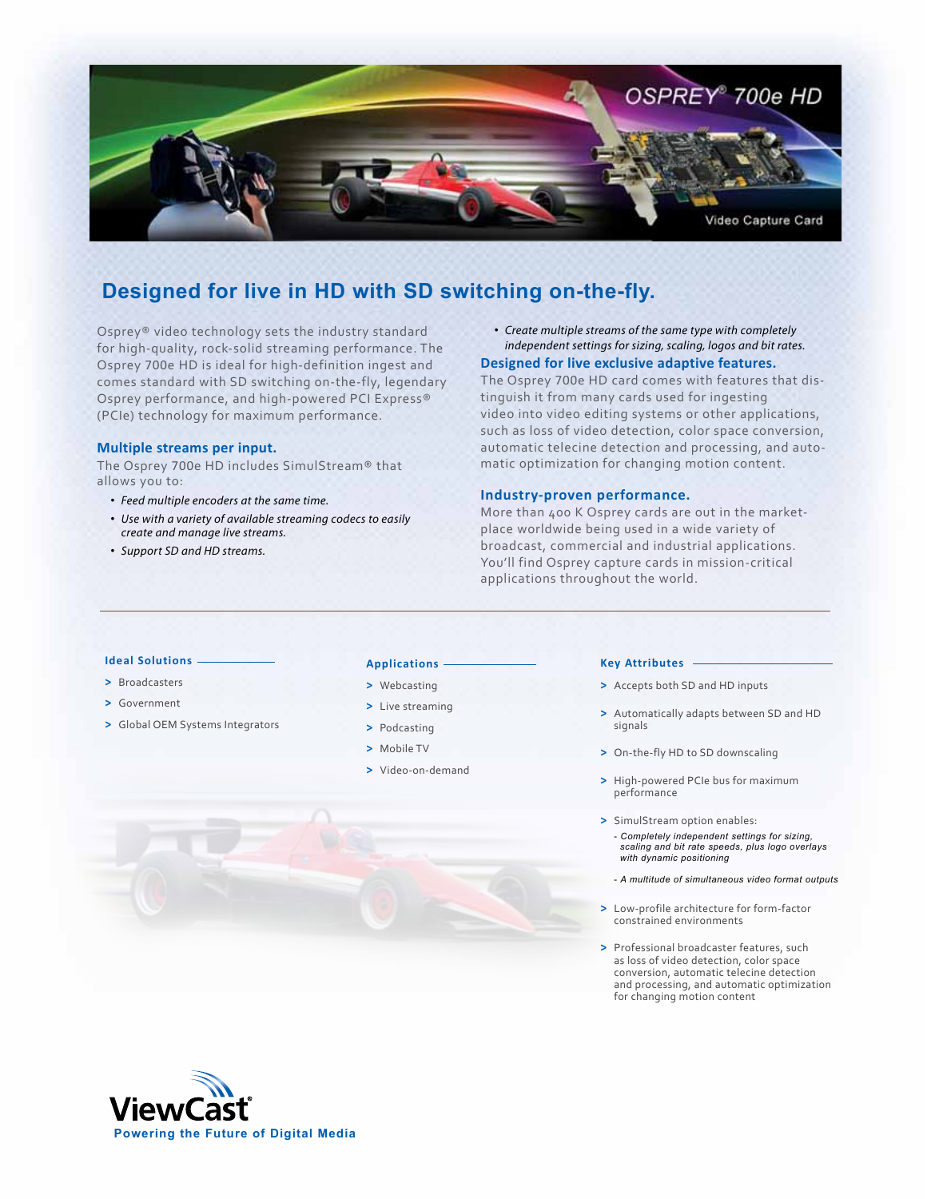

# **Designed for live in HD with SD switching on-the-fly.**

Osprey® video technology sets the industry standard for high-quality, rock-solid streaming performance. The Osprey 700e HD is ideal for high-definition ingest and comes standard with SD switching on-the-fly, legendary Osprey performance, and high-powered PCI Express® (PCIe) technology for maximum performance.

# **Multiple streams per input.**

The Osprey 700e HD includes SimulStream® that allows you to:

- *Feed multiple encoders at the same time.*
- *Use with a variety of available streaming codecs to easily create and manage live streams.*
- *Support SD and HD streams.*

• *Create multiple streams of the same type with completely independent settings for sizing, scaling, logos and bit rates.*

# **Designed for live exclusive adaptive features.**

The Osprey 700e HD card comes with features that distinguish it from many cards used for ingesting video into video editing systems or other applications, such as loss of video detection, color space conversion, automatic telecine detection and processing, and automatic optimization for changing motion content.

# **Industry-proven performance.**

More than 400 K Osprey cards are out in the marketplace worldwide being used in a wide variety of broadcast, commercial and industrial applications. You'll find Osprey capture cards in mission-critical applications throughout the world.

# **Ideal Solutions**

- **>** Broadcasters
- **>** Government
- **>** Global OEM Systems Integrators

#### **Applications**

- **>** Webcasting
- **>** Live streaming
- **>** Podcasting
- **>** Mobile TV
- **>** Video-on-demand

#### **Key Attributes**

- **>** Accepts both SD and HD inputs
- **>** Automatically adapts between SD and HD signals
- **>** On-the-fly HD to SD downscaling
- **>** High-powered PCIe bus for maximum performance
- **>** SimulStream option enables: - *Completely independent settings for sizing, scaling and bit rate speeds, plus logo overlays with dynamic positioning*
	- *A multitude of simultaneous video format outputs*
- **>** Low-profile architecture for form-factor constrained environments
- **>** Professional broadcaster features, such as loss of video detection, color space conversion, automatic telecine detection and processing, and automatic optimization for changing motion content